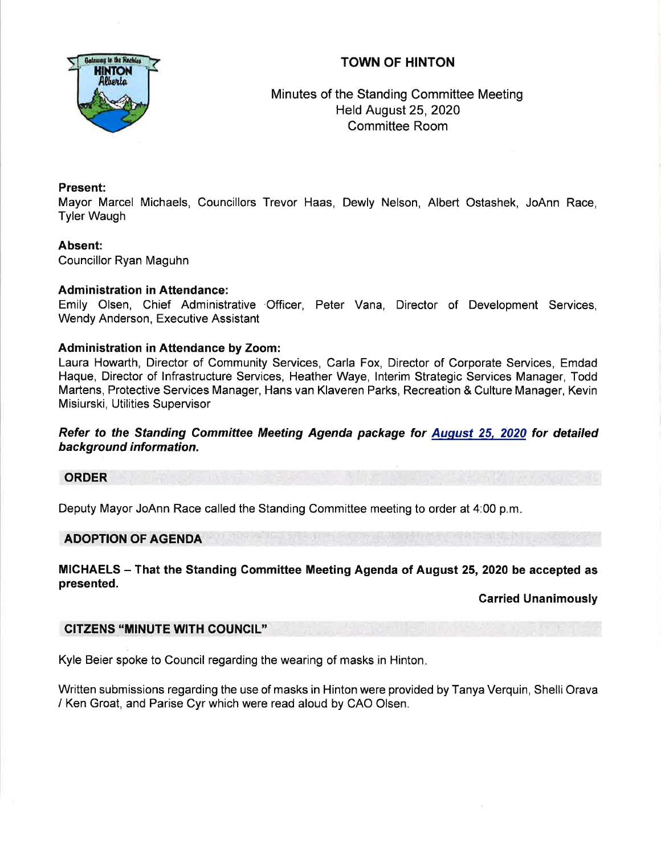# TOWN OF HINTON



Minutes of the Standing Committee Meeting Held August 25, 2020 Committee Room

## Present:

Mayor Marcel Michaels, Councillors Trevor Haas, Dewly Nelson, Albert Ostashek, JoAnn Race, Tyler Waugh

# Absent:

Councillor Ryan Maguhn

## Administration in Attendance:

Emily Olsen, Chief Administrative 'Officer, Peter Vana, Director of Development Services, Wendy Anderson, Executive Assistant

## Administration in Attendance by Zoom:

Laura Howarth, Director of Community Services, Carla Fox, Director of Corporate Services, Emdad Haque, Director of lnfrastructure Services, Heather Waye, lnterim Strategic Services Manager, Todd Martens, Protective Services Manager, Hans van Klaveren Parks, Recreation & Culture Manager, Kevin Misiurski, Utilities Supervisor

Refer to the Standing Committee Meeting Agenda package for August 25, 2020 for detailed background information.

## ORDER

Deputy Mayor JoAnn Race called the Standing Committee meeting to order at 4:00 p.m

## ADOPTION OF AGENDA

MICHAELS - That the Standing Committee Meeting Agenda of August 25,2020 be accepted as presented.

## Garried Unanimously

## CITZENS "MINUTE WITH COUNCIL''

Kyle Beier spoke to Council regarding the wearing of masks in Hinton

Written submissions regarding the use of masks in Hinton were provided by Tanya Verquin, Shelli Orava / Ken Groat, and Parise Cyr which were read aloud by CAO Olsen.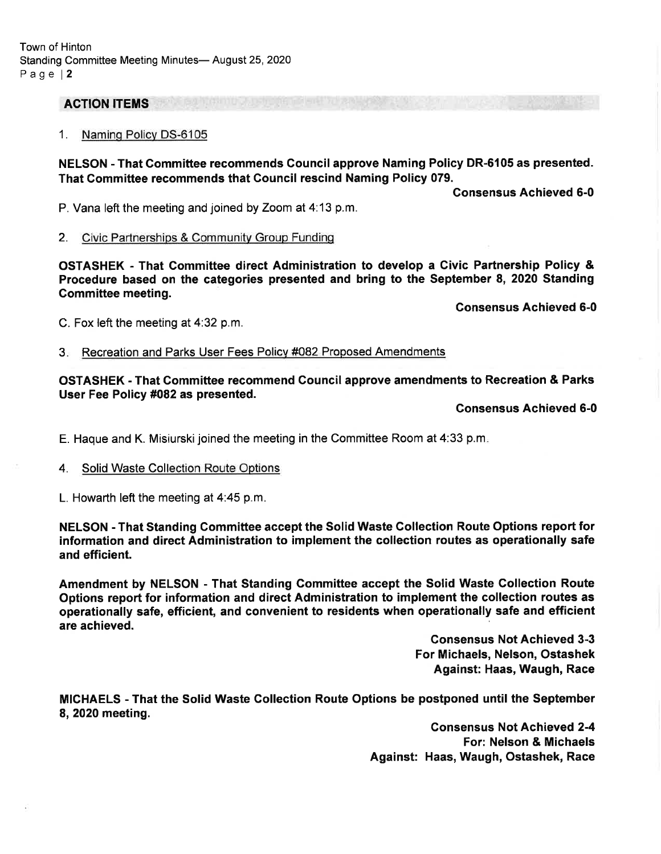## **ACTION ITEMS**

#### 1. Namino Policv DS-6105

NELSON - That Gommittee recommends Gouncil approve Naming Policy DR-6105 as presented. That Gommittee recommends that Gouncil rescind Naming Policy 079.

Consensus Achieved 6-0

P. Vana left the meeting and joined by Zoom at 4:13 p.m.

#### 2. Civic Partnerships & Community Group Funding

OSTASHEK - That Committee direct Administration to develop a Givic Partnership Policy & Procedure based on the categories presented and bring to the September 8, 2020 Standing Gommittee meeting.

Gonsensus Achieved 6-0

C. Fox left the meeting at  $4:32$  p.m.

3. Recreation and Parks User Fees Policy #082 Proposed Amendments

### OSTASHEK - That Committee recommend Gouncil approve amendments to Recreation & Parks User Fee Policy #082 as presented.

Gonsensus Achieved 6-0

E. Haque and K. Misiurski joined the meeting in the Committee Room at 4:33 p.m.

4. Solid Waste Collection Route Optiors

L. Howarth left the meeting at  $4:45$  p.m.

NELSON - That Standing Committee accept the Solid Waste Collection Route Options report for information and direct Administration to implement the collection routes as operationally safe and efficient.

Amendment by NELSON - That Standing Gommittee accept the Solid Waste Collection Route Options report for information and direct Administration to implement the collection routes as operationally safe, efficient, and convenient to residents when operationally safe and efficient are achieved.

> Consensus Not Achieved 3-3 For Michaels, Nelson, Ostashek Against: Haas, Waugh, Race

MICHAELS - That the Solid Waste Gollection Route Options be postponed until the September 8,2020 meeting.

> Gonsensus Not Achieved 2-4 For: Nelson & Michaels Against: Haas, Waugh, Ostashek, Race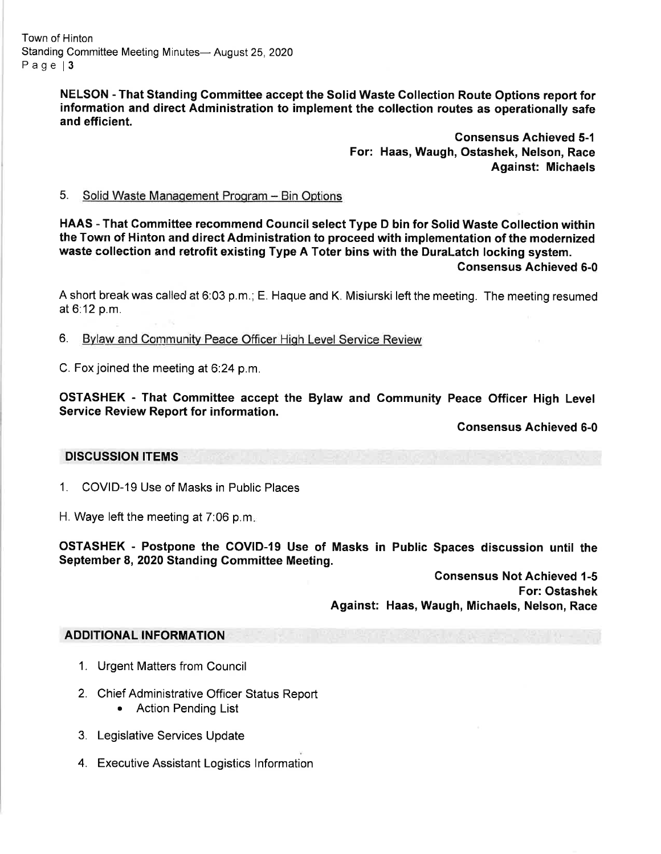NELSON - That Standing Gommittee accept the Solid Waste Collection Route Options report for information and direct Administration to implement the collection routes as operationally safe and efficient.

> Consensus Achieved 5-1 For: Haas, Waugh, Ostashek, Nelson, Race Against: Michaels

### 5. Solid Waste Management Program - Bin Options

HAAS - That Committee recommend Council select Type D bin for Solid Waste Collection within the Town of Hinton and direct Administration to proceed with implementation of the modernized waste collection and retrofit existing Type A Toter bins with the Duralatch locking system. Gonsensus Achieved 6-0

A short break was called at 6:03 p.m.; E. Haque and K. Misiurski left the meeting. The meeting resumed at 6:12 p.m.

6. Bvlaw and Communitv Peace Officer Hiqh Level Service Review

C. Fox joined the meeting at 6:24 p.m.

OSTASHEK - That Gommittee accept the Bylaw and Community Peace Officer High Level Service Review Report for information.

Consensus Achieved 6-0

### DISCUSSION ITEMS

- 1. COVID-19 Use of Masks in Public Places
- H. Waye left the meeting at 7:06 p.m

OSTASHEK - Postpone the COVID-19 Use of Masks in Public Spaces discussion until the September 8,2020 Standing Committee Meeting.

> Gonsensus Not Achieved 1-5 For: Ostashek Against: Haas, Waugh, Michaels, Nelson, Race

### ADDITIONAL INFORMATION

- 1. Urgent Matters from Council
- 2. Chief Administrative Officer Status Report • Action Pending List
- 3. Legislative Services Update
- 4. Executive Assistant Logistics lnformation